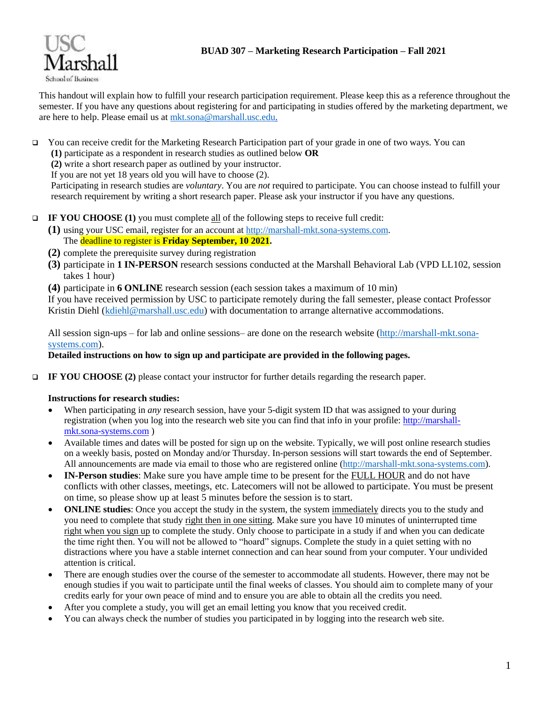



This handout will explain how to fulfill your research participation requirement. Please keep this as a reference throughout the semester. If you have any questions about registering for and participating in studies offered by the marketing department, we are here to help. Please email us at [mkt.sona@marshall.usc.edu.](mailto:mkt.sona@marshall.usc.edu)

- ❑ You can receive credit for the Marketing Research Participation part of your grade in one of two ways. You can
	- **(1)** participate as a respondent in research studies as outlined below **OR**
	- **(2)** write a short research paper as outlined by your instructor.

If you are not yet 18 years old you will have to choose (2).

Participating in research studies are *voluntary*. You are *not* required to participate. You can choose instead to fulfill your research requirement by writing a short research paper. Please ask your instructor if you have any questions.

- ❑ **IF YOU CHOOSE (1)** you must complete all of the following steps to receive full credit:
	- **(1)** using your USC email, register for an account at [http://marshall-mkt.sona-systems.com.](http://marshall-mkt.sona-systems.com/) The deadline to register is **Friday September, 10 2021.**
	- **(2)** complete the prerequisite survey during registration
	- **(3)** participate in **1 IN-PERSON** research sessions conducted at the Marshall Behavioral Lab (VPD LL102, session takes 1 hour)
	- **(4)** participate in **6 ONLINE** research session (each session takes a maximum of 10 min)

If you have received permission by USC to participate remotely during the fall semester, please contact Professor Kristin Diehl [\(kdiehl@marshall.usc.edu\)](mailto:kdiehl@marshall.usc.edu) with documentation to arrange alternative accommodations.

All session sign-ups – for lab and online sessions– are done on the research website [\(http://marshall-mkt.sona](http://marshall-mkt.sona-systems.com/)[systems.com\)](http://marshall-mkt.sona-systems.com/).

# **Detailed instructions on how to sign up and participate are provided in the following pages.**

❑ **IF YOU CHOOSE (2)** please contact your instructor for further details regarding the research paper.

# **Instructions for research studies:**

- When participating in *any* research session, have your 5-digit system ID that was assigned to your during registration (when you log into the research web site you can find that info in your profile[: http://marshall](http://marshall-mkt.sona-systems.com/)[mkt.sona-systems.com](http://marshall-mkt.sona-systems.com/) )
- Available times and dates will be posted for sign up on the website. Typically, we will post online research studies on a weekly basis, posted on Monday and/or Thursday. In-person sessions will start towards the end of September. All announcements are made via email to those who are registered online [\(http://marshall-mkt.sona-systems.com\)](http://marshall-mkt.sona-systems.com/).
- **IN-Person studies**: Make sure you have ample time to be present for the FULL HOUR and do not have conflicts with other classes, meetings, etc. Latecomers will not be allowed to participate. You must be present on time, so please show up at least 5 minutes before the session is to start.
- **ONLINE studies**: Once you accept the study in the system, the system immediately directs you to the study and you need to complete that study right then in one sitting. Make sure you have 10 minutes of uninterrupted time right when you sign up to complete the study. Only choose to participate in a study if and when you can dedicate the time right then. You will not be allowed to "hoard" signups. Complete the study in a quiet setting with no distractions where you have a stable internet connection and can hear sound from your computer. Your undivided attention is critical.
- There are enough studies over the course of the semester to accommodate all students. However, there may not be enough studies if you wait to participate until the final weeks of classes. You should aim to complete many of your credits early for your own peace of mind and to ensure you are able to obtain all the credits you need.
- After you complete a study, you will get an email letting you know that you received credit.
- You can always check the number of studies you participated in by logging into the research web site.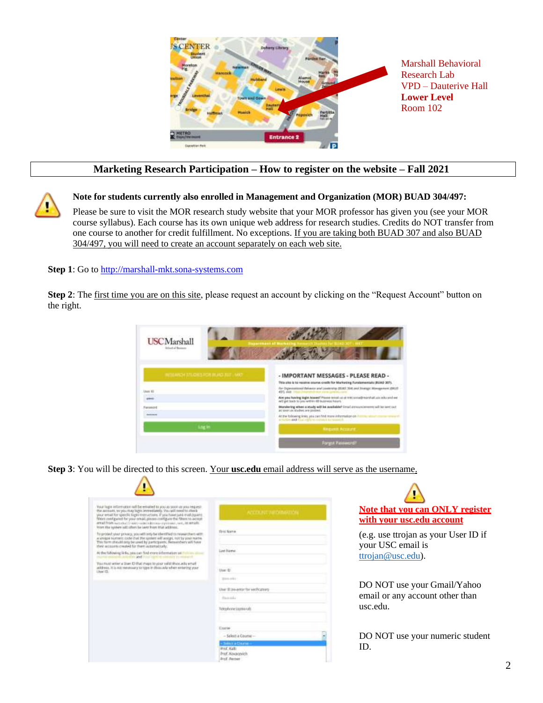

# **Marketing Research Participation – How to register on the website – Fall 2021**

**Note for students currently also enrolled in Management and Organization (MOR) BUAD 304/497:** 

Please be sure to visit the MOR research study website that your MOR professor has given you (see your MOR course syllabus). Each course has its own unique web address for research studies. Credits do NOT transfer from one course to another for credit fulfillment. No exceptions. If you are taking both BUAD 307 and also BUAD 304/497, you will need to create an account separately on each web site.

**Step 1**: Go t[o http://marshall-mkt.sona-systems.com](http://marshall-mkt.sona-systems.com/)

**Step 2**: The first time you are on this site, please request an account by clicking on the "Request Account" button on the right.



**Step 3**: You will be directed to this screen. Your **usc.edu** email address will serve as the username.

| Your lage information will be entailed to you as soon as you request.<br>the account, we you may look anywaterely. You will need to check                                                                                                                                                       | APÉTRINT URIOMARION                                                   |
|-------------------------------------------------------------------------------------------------------------------------------------------------------------------------------------------------------------------------------------------------------------------------------------------------|-----------------------------------------------------------------------|
| year erset for specific login tratractions. If you have just eval positers<br>filters configured for year email, please configure the filters to accept<br>amail from nutritudi di ventroisse continuatione continuation and fitting<br>from the system sell efters he layet from that address. |                                                                       |
| for protect your privacy, you will only be identified to request hers with<br>a unique surfreet; code that the system will assign, not by your mates.<br>This form should any be used by perticipants. Requestment will have<br>their acquisits created for them automatically.                 | <b>Timt Norva</b>                                                     |
| At the following links, you can find more information and<br><b>COLLEN</b><br>the way in claiming the said for a state of the company                                                                                                                                                           | Lost Name:                                                            |
| Recording a bandle in an any column to that it real 4. Years hand in a column and<br>address, it is not remeasury to type in distantify when entering year.<br>that it is a second that the control of the con-                                                                                 | Mont 42                                                               |
|                                                                                                                                                                                                                                                                                                 | Train and a                                                           |
|                                                                                                                                                                                                                                                                                                 | ther Ill Joyante for well-caters                                      |
|                                                                                                                                                                                                                                                                                                 | Parameter.                                                            |
|                                                                                                                                                                                                                                                                                                 | Telephone (autosval)                                                  |
|                                                                                                                                                                                                                                                                                                 | Enative                                                               |
|                                                                                                                                                                                                                                                                                                 | - Select a Course -                                                   |
|                                                                                                                                                                                                                                                                                                 | - Salert a Churre-<br>Prof. Kall:<br>Prof. Kovacovich<br>Prif. Perter |



(e.g. use ttrojan as your User ID if your USC email is [ttrojan@usc.edu\)](mailto:ttrojan@usc.edu).

DO NOT use your Gmail/Yahoo email or any account other than usc.edu.

DO NOT use your numeric student ID.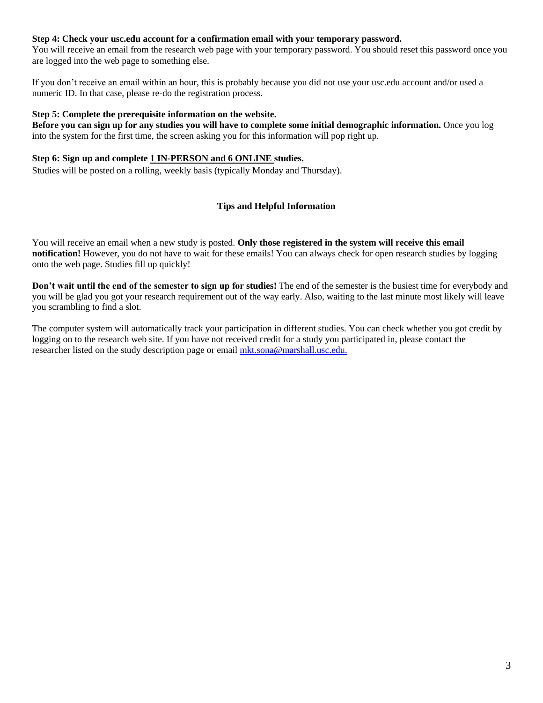# **Step 4: Check your usc.edu account for a confirmation email with your temporary password.**

You will receive an email from the research web page with your temporary password. You should reset this password once you are logged into the web page to something else.

If you don't receive an email within an hour, this is probably because you did not use your usc.edu account and/or used a numeric ID. In that case, please re-do the registration process.

#### **Step 5: Complete the prerequisite information on the website.**

**Before you can sign up for any studies you will have to complete some initial demographic information.** Once you log into the system for the first time, the screen asking you for this information will pop right up.

#### **Step 6: Sign up and complete 1 IN-PERSON and 6 ONLINE studies.**

Studies will be posted on a rolling, weekly basis (typically Monday and Thursday).

# **Tips and Helpful Information**

You will receive an email when a new study is posted. **Only those registered in the system will receive this email notification!** However, you do not have to wait for these emails! You can always check for open research studies by logging onto the web page. Studies fill up quickly!

**Don't wait until the end of the semester to sign up for studies!** The end of the semester is the busiest time for everybody and you will be glad you got your research requirement out of the way early. Also, waiting to the last minute most likely will leave you scrambling to find a slot.

The computer system will automatically track your participation in different studies. You can check whether you got credit by logging on to the research web site. If you have not received credit for a study you participated in, please contact the researcher listed on the study description page or email [mkt.sona@marshall.usc.edu.](mailto:mkt.sona@marshall.usc.edu)